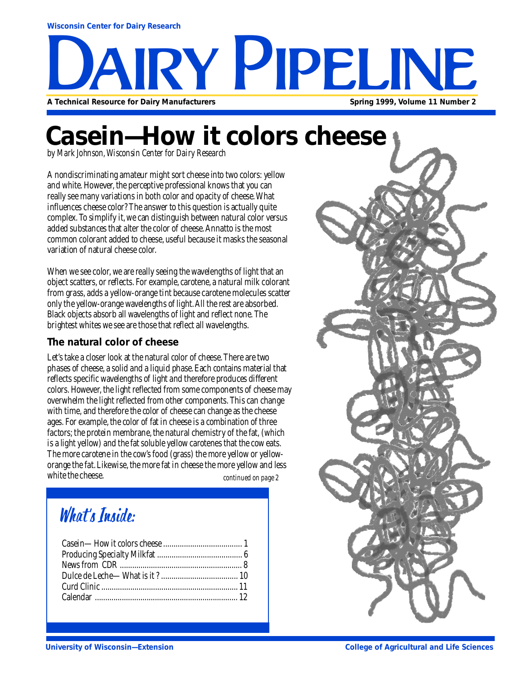# RY PIPELINE **A Technical Resource for Dairy Manufacturers Spring 1999, Volume 11 Number 2**

### **Casein—How it colors cheese**

*by Mark Johnson, Wisconsin Center for Dairy Research*

A nondiscriminating amateur might sort cheese into two colors: yellow and white. However, the perceptive professional knows that you can really see many variations in both color and opacity of cheese. What influences cheese color? The answer to this question is actually quite complex. To simplify it, we can distinguish between natural color versus added substances that alter the color of cheese. Annatto is the most common colorant added to cheese, useful because it masks the seasonal variation of natural cheese color.

When we see color, we are really seeing the wavelengths of light that an object scatters, or reflects. For example, carotene, a natural milk colorant from grass, adds a yellow-orange tint because carotene molecules scatter only the yellow-orange wavelengths of light. All the rest are absorbed. Black objects absorb all wavelengths of light and reflect none. The brightest whites we see are those that reflect all wavelengths.

#### **The natural color of cheese**

Let's take a closer look at the natural color of cheese. There are two phases of cheese, a solid and a liquid phase. Each contains material that reflects specific wavelengths of light and therefore produces different colors. However, the light reflected from some components of cheese may overwhelm the light reflected from other components. This can change with time, and therefore the color of cheese can change as the cheese ages. For example, the color of fat in cheese is a combination of three factors; the protein membrane, the natural chemistry of the fat, (which is a light yellow) and the fat soluble yellow carotenes that the cow eats. The more carotene in the cow's food (grass) the more yellow or yelloworange the fat. Likewise, the more fat in cheese the more yellow and less white the cheese. *continued on page 2*

### What's Inside:

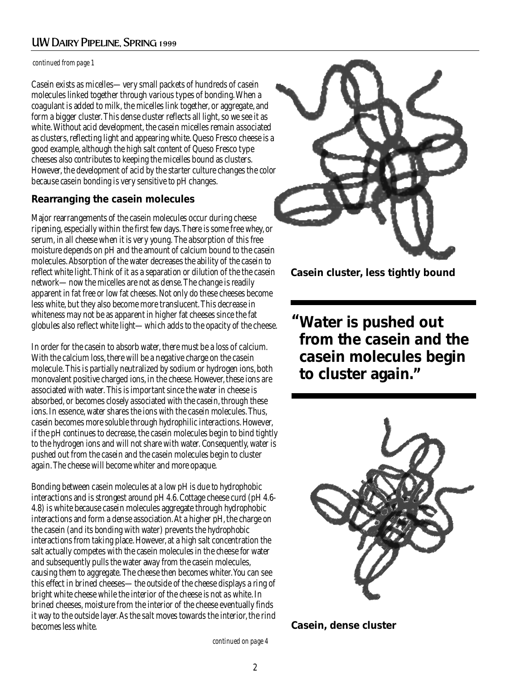#### UW Dairy Pipeline, Spring 1999

#### *continued from page 1*

Casein exists as micelles—very small packets of hundreds of casein molecules linked together through various types of bonding. When a coagulant is added to milk, the micelles link together, or aggregate, and form a bigger cluster. This dense cluster reflects all light, so we see it as white. Without acid development, the casein micelles remain associated as clusters, reflecting light and appearing white. Queso Fresco cheese is a good example, although the high salt content of Queso Fresco type cheeses also contributes to keeping the micelles bound as clusters. However, the development of acid by the starter culture changes the color because casein bonding is very sensitive to pH changes.

#### **Rearranging the casein molecules**

Major rearrangements of the casein molecules occur during cheese ripening, especially within the first few days. There is some free whey, or serum, in all cheese when it is very young. The absorption of this free moisture depends on pH and the amount of calcium bound to the casein molecules. Absorption of the water decreases the ability of the casein to reflect white light. Think of it as a separation or dilution of the the casein network—now the micelles are not as dense. The change is readily apparent in fat free or low fat cheeses. Not only do these cheeses become less white, but they also become more translucent. This decrease in whiteness may not be as apparent in higher fat cheeses since the fat globules also reflect white light—which adds to the opacity of the cheese.

In order for the casein to absorb water, there must be a loss of calcium. With the calcium loss, there will be a negative charge on the casein molecule. This is partially neutralized by sodium or hydrogen ions, both monovalent positive charged ions, in the cheese. However, these ions are associated with water. This is important since the water in cheese is absorbed, or becomes closely associated with the casein, through these ions. In essence, water shares the ions with the casein molecules. Thus, casein becomes more soluble through hydrophilic interactions. However, if the pH continues to decrease, the casein molecules begin to bind tightly to the hydrogen ions and will not share with water. Consequently, water is pushed out from the casein and the casein molecules begin to cluster again. The cheese will become whiter and more opaque.

Bonding between casein molecules at a low pH is due to hydrophobic interactions and is strongest around pH 4.6. Cottage cheese curd (pH 4.6- 4.8) is white because casein molecules aggregate through hydrophobic interactions and form a dense association. At a higher pH, the charge on the casein (and its bonding with water) prevents the hydrophobic interactions from taking place. However, at a high salt concentration the salt actually competes with the casein molecules in the cheese for water and subsequently pulls the water away from the casein molecules, causing them to aggregate. The cheese then becomes whiter. You can see this effect in brined cheeses—the outside of the cheese displays a ring of bright white cheese while the interior of the cheese is not as white. In brined cheeses, moisture from the interior of the cheese eventually finds it way to the outside layer. As the salt moves towards the interior, the rind becomes less white.



**Casein cluster, less tightly bound**

**Water is pushed out " from the casein and the casein molecules begin to cluster again."**





*continued on page 4*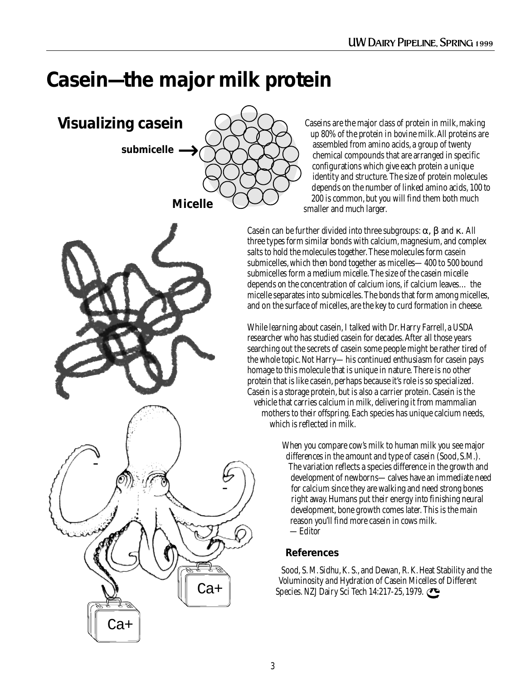### **Casein—the major milk protein**







Caseins are the major class of protein in milk, making up 80% of the protein in bovine milk. All proteins are assembled from amino acids, a group of twenty chemical compounds that are arranged in specific configurations which give each protein a unique identity and structure. The size of protein molecules depends on the number of linked amino acids, 100 to 200 is common, but you will find them both much smaller and much larger.

Casein can be further divided into three subgroups:  $\alpha$ ,  $\beta$  and  $\kappa$ . All three types form similar bonds with calcium, magnesium, and complex salts to hold the molecules together. These molecules form casein submicelles, which then bond together as micelles—400 to 500 bound submicelles form a medium micelle. The size of the casein micelle depends on the concentration of calcium ions, if calcium leaves… the micelle separates into submicelles. The bonds that form among micelles, and on the surface of micelles, are the key to curd formation in cheese.

While learning about casein, I talked with Dr. Harry Farrell, a USDA researcher who has studied casein for decades. After all those years searching out the secrets of casein some people might be rather tired of the whole topic. Not Harry—his continued enthusiasm for casein pays homage to this molecule that is unique in nature. There is no other protein that is like casein, perhaps because it's role is so specialized. Casein is a storage protein, but is also a carrier protein. Casein is the vehicle that carries calcium in milk, delivering it from mammalian mothers to their offspring. Each species has unique calcium needs, which is reflected in milk.

> When you compare cow's milk to human milk you see major differences in the amount and type of casein (Sood, S.M.). The variation reflects a species difference in the growth and development of newborns—calves have an immediate need for calcium since they are walking and need strong bones right away. Humans put their energy into finishing neural development, bone growth comes later. This is the main reason you'll find more casein in cows milk. —Editor

#### **References**

Sood, S. M. Sidhu, K. S., and Dewan, R. K. Heat Stability and the Voluminosity and Hydration of Casein Micelles of Different Species. NZJ Dairy Sci Tech 14:217-25, 1979.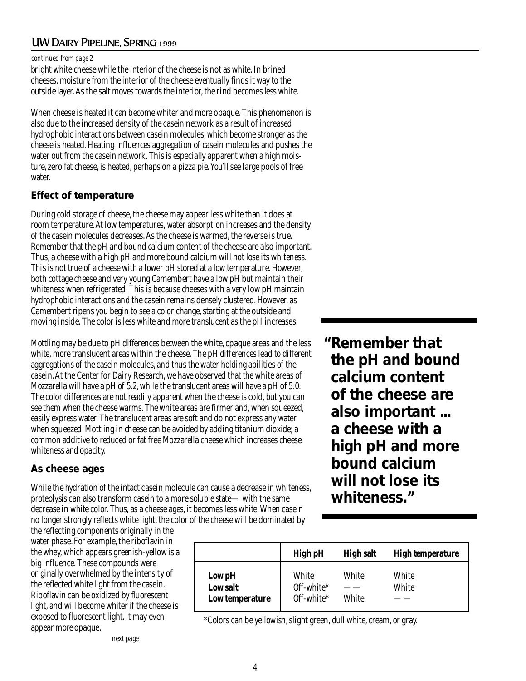#### UW Dairy Pipeline, Spring 1999

#### *continued from page 2*

bright white cheese while the interior of the cheese is not as white. In brined cheeses, moisture from the interior of the cheese eventually finds it way to the outside layer. As the salt moves towards the interior, the rind becomes less white.

When cheese is heated it can become whiter and more opaque. This phenomenon is also due to the increased density of the casein network as a result of increased hydrophobic interactions between casein molecules, which become stronger as the cheese is heated. Heating influences aggregation of casein molecules and pushes the water out from the casein network. This is especially apparent when a high moisture, zero fat cheese, is heated, perhaps on a pizza pie. You'll see large pools of free water.

#### **Effect of temperature**

During cold storage of cheese, the cheese may appear less white than it does at room temperature. At low temperatures, water absorption increases and the density of the casein molecules decreases. As the cheese is warmed, the reverse is true. Remember that the pH and bound calcium content of the cheese are also important. Thus, a cheese with a high pH and more bound calcium will not lose its whiteness. This is not true of a cheese with a lower pH stored at a low temperature. However, both cottage cheese and very young Camembert have a low pH but maintain their whiteness when refrigerated. This is because cheeses with a very low pH maintain hydrophobic interactions and the casein remains densely clustered. However, as Camembert ripens you begin to see a color change, starting at the outside and moving inside. The color is less white and more translucent as the pH increases.

Mottling may be due to pH differences between the white, opaque areas and the less white, more translucent areas within the cheese. The pH differences lead to different aggregations of the casein molecules, and thus the water holding abilities of the casein. At the Center for Dairy Research, we have observed that the white areas of Mozzarella will have a pH of 5.2, while the translucent areas will have a pH of 5.0. The color differences are not readily apparent when the cheese is cold, but you can see them when the cheese warms. The white areas are firmer and, when squeezed, easily express water. The translucent areas are soft and do not express any water when squeezed. Mottling in cheese can be avoided by adding titanium dioxide; a common additive to reduced or fat free Mozzarella cheese which increases cheese whiteness and opacity.

#### **As cheese ages**

While the hydration of the intact casein molecule can cause a decrease in whiteness, proteolysis can also transform casein to a more soluble state— with the same decrease in white color. Thus, as a cheese ages, it becomes less white. When casein no longer strongly reflects white light, the color of the cheese will be dominated by

the reflecting components originally in the water phase. For example, the riboflavin in the whey, which appears greenish-yellow is a big influence. These compounds were originally overwhelmed by the intensity of the reflected white light from the casein. Riboflavin can be oxidized by fluorescent light, and will become whiter if the cheese is exposed to fluorescent light. It may even appear more opaque.

|                                       | <b>High pH</b>                    | <b>High salt</b> | <b>High temperature</b> |
|---------------------------------------|-----------------------------------|------------------|-------------------------|
| Low pH<br>Low salt<br>Low temperature | White<br>Off-white*<br>Off-white* | White<br>White   | White<br>White          |

\*Colors can be yellowish, slight green, dull white, cream, or gray.

**Remember that " the pH and bound calcium content of the cheese are also important ... a cheese with a high pH and more bound calcium will not lose its whiteness."**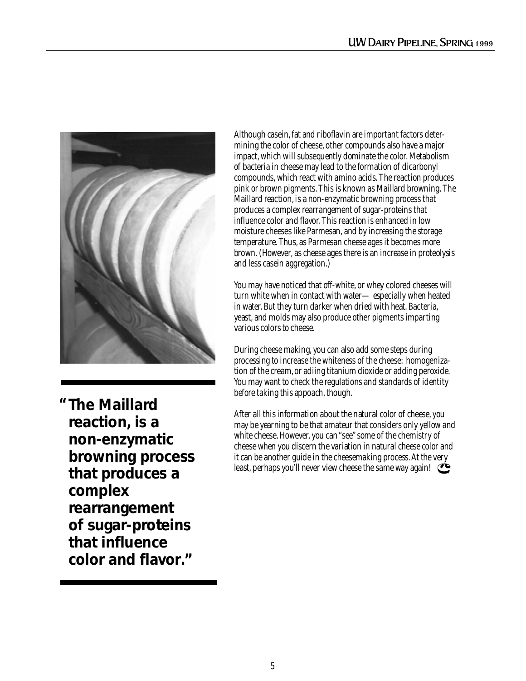

**The Maillard "reaction, is a non-enzymatic browning process that produces a complex rearrangement of sugar-proteins that influence color and flavor."**

Although casein, fat and riboflavin are important factors determining the color of cheese, other compounds also have a major impact, which will subsequently dominate the color. Metabolism of bacteria in cheese may lead to the formation of dicarbonyl compounds, which react with amino acids. The reaction produces pink or brown pigments. This is known as Maillard browning. The Maillard reaction, is a non-enzymatic browning process that produces a complex rearrangement of sugar-proteins that influence color and flavor. This reaction is enhanced in low moisture cheeses like Parmesan, and by increasing the storage temperature. Thus, as Parmesan cheese ages it becomes more brown. (However, as cheese ages there is an increase in proteolysis and less casein aggregation.)

You may have noticed that off-white, or whey colored cheeses will turn white when in contact with water— especially when heated in water. But they turn darker when dried with heat. Bacteria, yeast, and molds may also produce other pigments imparting various colors to cheese.

During cheese making, you can also add some steps during processing to increase the whiteness of the cheese: homogenization of the cream, or adiing titanium dioxide or adding peroxide. You may want to check the regulations and standards of identity before taking this appoach, though.

After all this information about the natural color of cheese, you may be yearning to be that amateur that considers only yellow and white cheese. However, you can "see" some of the chemistry of cheese when you discern the variation in natural cheese color and it can be another guide in the cheesemaking process. At the very least, perhaps you'll never view cheese the same way again!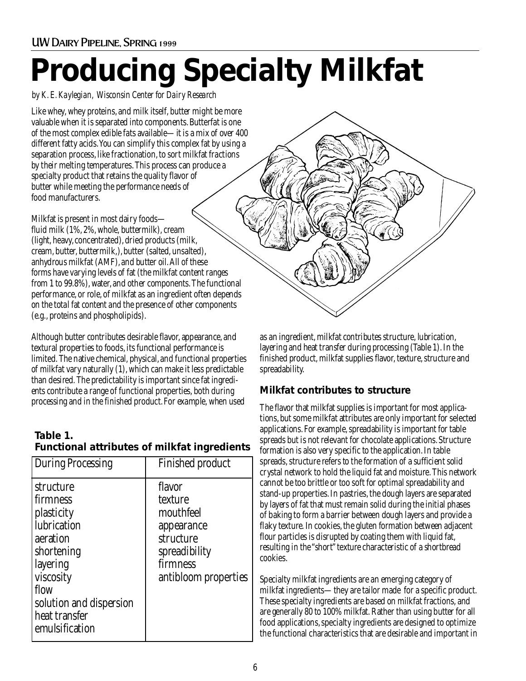# **Producing Specialty Milkfat**

*by K. E. Kaylegian, Wisconsin Center for Dairy Research*

Like whey, whey proteins, and milk itself, butter might be more valuable when it is separated into components. Butterfat is one of the most complex edible fats available—it is a mix of over 400 different fatty acids. You can simplify this complex fat by using a separation process, like fractionation, to sort milkfat fractions by their melting temperatures. This process can produce a specialty product that retains the quality flavor of butter while meeting the performance needs of food manufacturers.

Milkfat is present in most dairy foods fluid milk (1%, 2%, whole, buttermilk), cream (light, heavy, concentrated), dried products (milk, cream, butter, buttermilk,), butter (salted, unsalted), anhydrous milkfat (AMF), and butter oil. All of these forms have varying levels of fat (the milkfat content ranges from 1 to 99.8%), water, and other components. The functional performance, or role, of milkfat as an ingredient often depends on the total fat content and the presence of other components (e.g., proteins and phospholipids).

Although butter contributes desirable flavor, appearance, and textural properties to foods, its functional performance is limited. The native chemical, physical, and functional properties of milkfat vary naturally (1), which can make it less predictable than desired. The predictability is important since fat ingredients contribute a range of functional properties, both during processing and in the finished product. For example, when used

#### **Table 1. Functional attributes of milkfat ingredients**

| <b>During Processing</b>                                                                                                                                                    | Finished product                                                                                               |
|-----------------------------------------------------------------------------------------------------------------------------------------------------------------------------|----------------------------------------------------------------------------------------------------------------|
| structure<br>firmness<br>plasticity<br>lubrication<br>aeration<br>shortening<br>layering<br>viscosity<br>flow<br>solution and dispersion<br>heat transfer<br>emulsification | flavor<br>texture<br>mouthfeel<br>appearance<br>structure<br>spreadibility<br>firmness<br>antibloom properties |
|                                                                                                                                                                             |                                                                                                                |

as an ingredient, milkfat contributes structure, lubrication, layering and heat transfer during processing (Table 1). In the finished product, milkfat supplies flavor, texture, structure and spreadability.

#### **Milkfat contributes to structure**

The flavor that milkfat supplies is important for most applications, but some milkfat attributes are only important for selected applications. For example, spreadability is important for table spreads but is not relevant for chocolate applications. Structure formation is also very specific to the application. In table spreads, structure refers to the formation of a sufficient solid crystal network to hold the liquid fat and moisture. This network cannot be too brittle or too soft for optimal spreadability and stand-up properties. In pastries, the dough layers are separated by layers of fat that must remain solid during the initial phases of baking to form a barrier between dough layers and provide a flaky texture. In cookies, the gluten formation between adjacent flour particles is disrupted by coating them with liquid fat, resulting in the "short" texture characteristic of a shortbread cookies.

Specialty milkfat ingredients are an emerging category of milkfat ingredients—they are tailor made for a specific product. These specialty ingredients are based on milkfat fractions, and are generally 80 to 100% milkfat. Rather than using butter for all food applications, specialty ingredients are designed to optimize the functional characteristics that are desirable and important in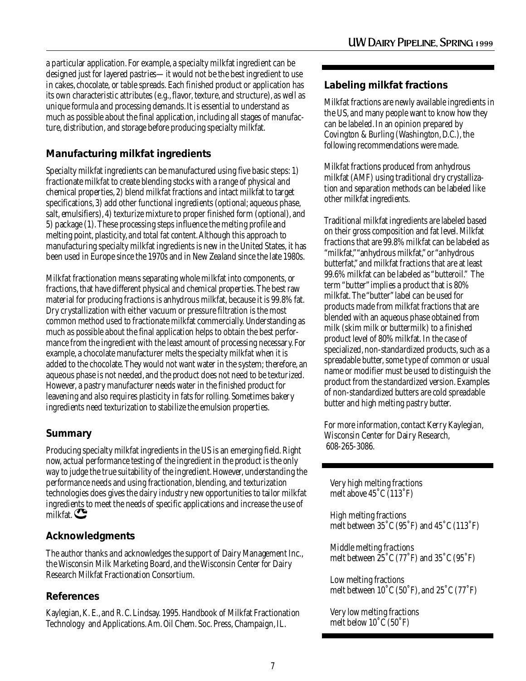a particular application. For example, a specialty milkfat ingredient can be designed just for layered pastries—it would not be the best ingredient to use in cakes, chocolate, or table spreads. Each finished product or application has its own characteristic attributes (e.g., flavor, texture, and structure), as well as unique formula and processing demands. It is essential to understand as much as possible about the final application, including all stages of manufacture, distribution, and storage before producing specialty milkfat.

#### **Manufacturing milkfat ingredients**

Specialty milkfat ingredients can be manufactured using five basic steps: 1) fractionate milkfat to create blending stocks with a range of physical and chemical properties, 2) blend milkfat fractions and intact milkfat to target specifications, 3) add other functional ingredients (optional; aqueous phase, salt, emulsifiers), 4) texturize mixture to proper finished form (optional), and 5) package (1). These processing steps influence the melting profile and melting point, plasticity, and total fat content. Although this approach to manufacturing specialty milkfat ingredients is new in the United States, it has been used in Europe since the 1970s and in New Zealand since the late 1980s.

Milkfat fractionation means separating whole milkfat into components, or fractions, that have different physical and chemical properties. The best raw material for producing fractions is anhydrous milkfat, because it is 99.8% fat. Dry crystallization with either vacuum or pressure filtration is the most common method used to fractionate milkfat commercially. Understanding as much as possible about the final application helps to obtain the best performance from the ingredient with the least amount of processing necessary. For example, a chocolate manufacturer melts the specialty milkfat when it is added to the chocolate. They would not want water in the system; therefore, an aqueous phase is not needed, and the product does not need to be texturized. However, a pastry manufacturer needs water in the finished product for leavening and also requires plasticity in fats for rolling. Sometimes bakery ingredients need texturization to stabilize the emulsion properties.

#### **Summary**

Producing specialty milkfat ingredients in the US is an emerging field. Right now, actual performance testing of the ingredient in the product is the only way to judge the true suitability of the ingredient. However, understanding the performance needs and using fractionation, blending, and texturization technologies does gives the dairy industry new opportunities to tailor milkfat ingredients to meet the needs of specific applications and increase the use of milkfat.

#### **Acknowledgments**

The author thanks and acknowledges the support of Dairy Management Inc., the Wisconsin Milk Marketing Board, and the Wisconsin Center for Dairy Research Milkfat Fractionation Consortium.

#### **References**

Kaylegian, K. E., and R. C. Lindsay. 1995. Handbook of Milkfat Fractionation Technology and Applications. Am. Oil Chem. Soc. Press, Champaign, IL.

#### **Labeling milkfat fractions**

Milkfat fractions are newly available ingredients in the US, and many people want to know how they can be labeled. In an opinion prepared by Covington & Burling (Washington, D.C.), the following recommendations were made.

Milkfat fractions produced from anhydrous milkfat (AMF) using traditional dry crystallization and separation methods can be labeled like other milkfat ingredients.

Traditional milkfat ingredients are labeled based on their gross composition and fat level. Milkfat fractions that are 99.8% milkfat can be labeled as "milkfat," "anhydrous milkfat," or "anhydrous butterfat," and milkfat fractions that are at least 99.6% milkfat can be labeled as "butteroil." The term "butter" implies a product that is 80% milkfat. The "butter" label can be used for products made from milkfat fractions that are blended with an aqueous phase obtained from milk (skim milk or buttermilk) to a finished product level of 80% milkfat. In the case of specialized, non-standardized products, such as a spreadable butter, some type of common or usual name or modifier must be used to distinguish the product from the standardized version. Examples of non-standardized butters are cold spreadable butter and high melting pastry butter.

For more information, contact Kerry Kaylegian, Wisconsin Center for Dairy Research, 608-265-3086.

Very high melting fractions melt above 45˚C (113˚F)

High melting fractions melt between 35˚C (95˚F) and 45˚C (113˚F)

Middle melting fractions melt between 25˚C (77˚F) and 35˚C (95˚F)

Low melting fractions melt between 10˚C (50˚F), and 25˚C (77˚F)

Very low melting fractions melt below 10˚C (50˚F)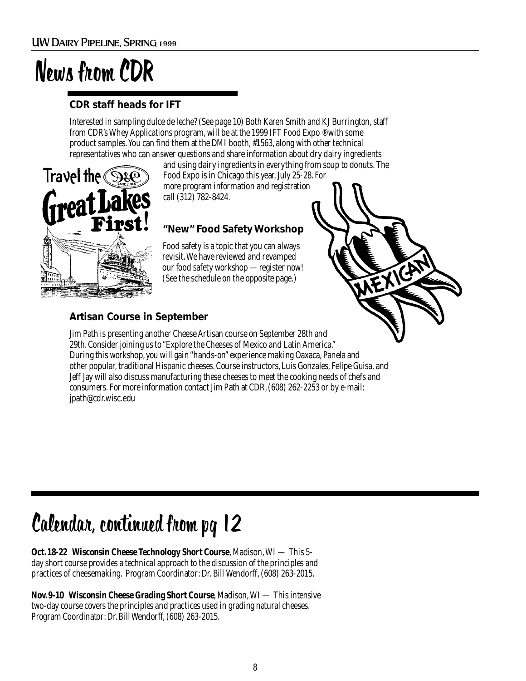## News from CDR

#### **CDR staff heads for IFT**

Interested in sampling dulce de leche? (See page 10) Both Karen Smith and KJ Burrington, staff from CDR's Whey Applications program, will be at the 1999 IFT Food Expo ® with some product samples. You can find them at the DMI booth, #1563, along with other technical representatives who can answer questions and share information about dry dairy ingredients



and using dairy ingredients in everything from soup to donuts. The Food Expo is in Chicago this year, July 25-28. For more program information and registration call (312) 782-8424.

### **"New" Food Safety Workshop**

Food safety is a topic that you can always revisit. We have reviewed and revamped our food safety workshop —register now! (See the schedule on the opposite page.)

#### **Artisan Course in September**

Jim Path is presenting another Cheese Artisan course on September 28th and 29th. Consider joining us to "Explore the Cheeses of Mexico and Latin America." During this workshop, you will gain "hands-on" experience making Oaxaca, Panela and other popular, traditional Hispanic cheeses. Course instructors, Luis Gonzales, Felipe Guisa, and Jeff Jay will also discuss manufacturing these cheeses to meet the cooking needs of chefs and consumers. For more information contact Jim Path at CDR, (608) 262-2253 or by e-mail: jpath@cdr.wisc.edu

### Calendar, continued from pg 12

**Oct. 18-22 Wisconsin Cheese Technology Short Course**, Madison, WI — This 5 day short course provides a technical approach to the discussion of the principles and practices of cheesemaking. Program Coordinator: Dr. Bill Wendorff, (608) 263-2015.

**Nov. 9-10 Wisconsin Cheese Grading Short Course**, Madison, WI — This intensive two-day course covers the principles and practices used in grading natural cheeses. Program Coordinator: Dr. Bill Wendorff, (608) 263-2015.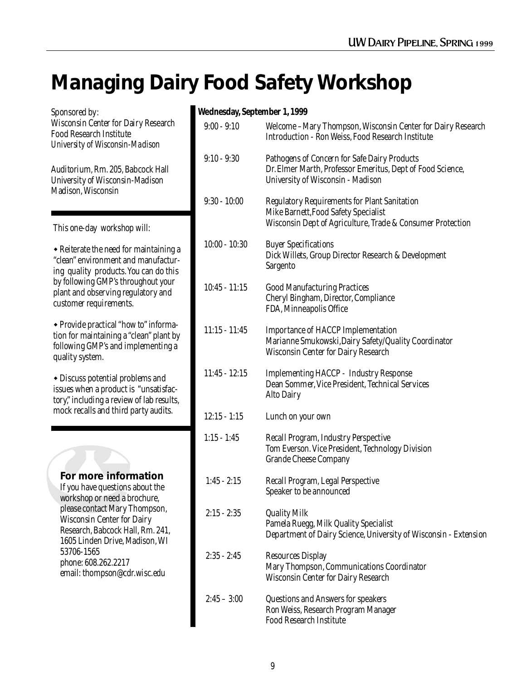### **Managing Dairy Food Safety Workshop**

Sponsored by: **Wednesday, September 1, 1999** Wisconsin Center for Dairy Research Food Research Institute *University of Wisconsin-Madison*

Auditorium, Rm. 205, Babcock Hall University of Wisconsin-Madison Madison, Wisconsin

This one-day workshop will:

 $\bullet$  Reiterate the need for maintaining a "clean" environment and manufacturing quality products. You can do this by following GMP's throughout your plant and observing regulatory and customer requirements.

• Provide practical "how to" information for maintaining a "clean" plant by following GMP's and implementing a quality system.

 $\bullet$  Discuss potential problems and issues when a product is "unsatisfactory," including a review of lab results, mock recalls and third party audits.

#### **For more information**

If you have questions about the workshop or need a brochure, please contact Mary Thompson, Wisconsin Center for Dairy Research, Babcock Hall, Rm. 241, 1605 Linden Drive, Madison, WI 53706-1565 phone: 608.262.2217 email: thompson@cdr.wisc.edu

| синсэиау, эсрісшысі 1, 1999 |                                                                                                                                                           |
|-----------------------------|-----------------------------------------------------------------------------------------------------------------------------------------------------------|
| $9:00 - 9:10$               | Welcome -Mary Thompson, Wisconsin Center for Dairy Research<br>Introduction - Ron Weiss, Food Research Institute                                          |
| $9:10 - 9:30$               | Pathogens of Concern for Safe Dairy Products<br>Dr. Elmer Marth, Professor Emeritus, Dept of Food Science,<br>University of Wisconsin - Madison           |
| $9:30 - 10:00$              | <b>Regulatory Requirements for Plant Sanitation</b><br>Mike Barnett, Food Safety Specialist<br>Wisconsin Dept of Agriculture, Trade & Consumer Protection |
| $10:00 - 10:30$             | <b>Buyer Specifications</b><br>Dick Willets, Group Director Research & Development<br>Sargento                                                            |
| $10:45 - 11:15$             | <b>Good Manufacturing Practices</b><br>Cheryl Bingham, Director, Compliance<br>FDA, Minneapolis Office                                                    |
| $11:15 - 11:45$             | <b>Importance of HACCP Implementation</b><br>Marianne Smukowski, Dairy Safety/Quality Coordinator<br><b>Wisconsin Center for Dairy Research</b>           |
| $11:45 - 12:15$             | <b>Implementing HACCP - Industry Response</b><br>Dean Sommer, Vice President, Technical Services<br><b>Alto Dairy</b>                                     |
| $12:15 - 1:15$              | Lunch on your own                                                                                                                                         |
| $1:15 - 1:45$               | Recall Program, Industry Perspective<br>Tom Everson. Vice President, Technology Division<br><b>Grande Cheese Company</b>                                  |
| $1:45 - 2:15$               | Recall Program, Legal Perspective<br>Speaker to be announced                                                                                              |
| $2:15 - 2:35$               | <b>Quality Milk</b><br>Pamela Ruegg, Milk Quality Specialist<br>Department of Dairy Science, University of Wisconsin - Extension                          |
| $2:35 - 2:45$               | <b>Resources Display</b><br>Mary Thompson, Communications Coordinator<br><b>Wisconsin Center for Dairy Research</b>                                       |
| $2:45 - 3:00$               | Questions and Answers for speakers<br>Ron Weiss, Research Program Manager<br><b>Food Research Institute</b>                                               |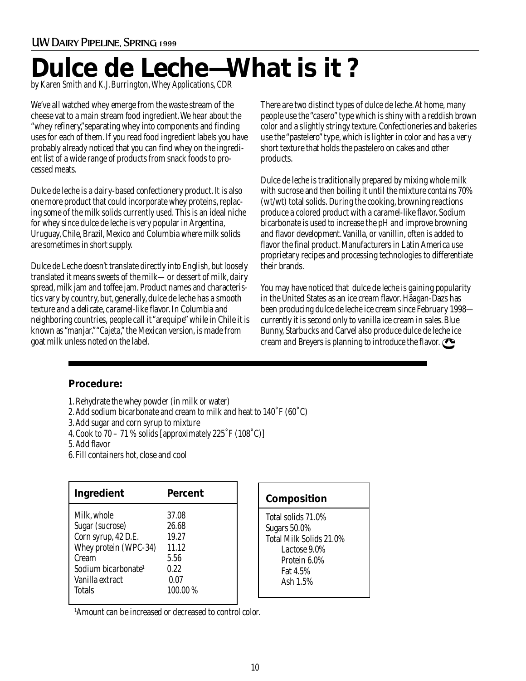## **Dulce de Leche—What is it ?**

*by Karen Smith and K.J. Burrington, Whey Applications, CDR*

We've all watched whey emerge from the waste stream of the cheese vat to a main stream food ingredient. We hear about the "whey refinery,"separating whey into components and finding uses for each of them. If you read food ingredient labels you have probably already noticed that you can find whey on the ingredient list of a wide range of products from snack foods to processed meats.

Dulce de leche is a dairy-based confectionery product. It is also one more product that could incorporate whey proteins, replacing some of the milk solids currently used. This is an ideal niche for whey since dulce de leche is very popular in Argentina, Uruguay, Chile, Brazil, Mexico and Columbia where milk solids are sometimes in short supply.

Dulce de Leche doesn't translate directly into English, but loosely translated it means sweets of the milk—or dessert of milk, dairy spread, milk jam and toffee jam. Product names and characteristics vary by country, but, generally, dulce de leche has a smooth texture and a delicate, caramel-like flavor. In Columbia and neighboring countries, people call it "arequipe" while in Chile it is known as "manjar." "Cajeta," the Mexican version, is made from goat milk unless noted on the label.

There are two distinct types of dulce de leche. At home, many people use the "casero" type which is shiny with a reddish brown color and a slightly stringy texture. Confectioneries and bakeries use the "pastelero" type, which is lighter in color and has a very short texture that holds the pastelero on cakes and other products.

Dulce de leche is traditionally prepared by mixing whole milk with sucrose and then boiling it until the mixture contains 70% (wt/wt) total solids. During the cooking, browning reactions produce a colored product with a caramel-like flavor. Sodium bicarbonate is used to increase the pH and improve browning and flavor development. Vanilla, or vanillin, often is added to flavor the final product. Manufacturers in Latin America use proprietary recipes and processing technologies to differentiate their brands.

You may have noticed that dulce de leche is gaining popularity in the United States as an ice cream flavor. Häagan-Dazs has been producing dulce de leche ice cream since February 1998 currently it is second only to vanilla ice cream in sales. Blue Bunny, Starbucks and Carvel also produce dulce de leche ice cream and Breyers is planning to introduce the flavor.

#### **Procedure:**

- 1. Rehydrate the whey powder (in milk or water)
- 2. Add sodium bicarbonate and cream to milk and heat to 140˚F (60˚C)
- 3. Add sugar and corn syrup to mixture
- 4. Cook to 70 71 % solids [approximately 225˚F (108˚C)]
- 5. Add flavor
- 6. Fill containers hot, close and cool

| Ingredient                      | Percent |
|---------------------------------|---------|
| Milk, whole                     | 37.08   |
| Sugar (sucrose)                 | 26.68   |
| Corn syrup, 42 D.E.             | 19.27   |
| Whey protein (WPC-34)           | 11.12   |
| Cream                           | 5.56    |
| Sodium bicarbonate <sup>1</sup> | 0.22    |
| Vanilla extract                 | 0.07    |
| Totals                          | 100.00% |

1 Amount can be increased or decreased to control color.

#### **Composition**

Total solids 71.0% Sugars 50.0% Total Milk Solids 21.0% Lactose 9.0% Protein 6.0% Fat 4.5% Ash 1.5%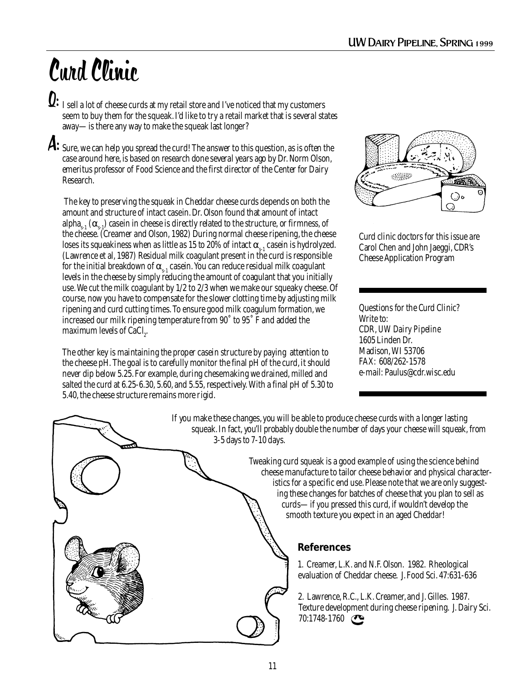## Curd Clinic

 $\mathbf{Q:}\,{}$  I sell a lot of cheese curds at my retail store and I've noticed that my customers seem to buy them for the squeak. I'd like to try a retail market that is several states away—is there any way to make the squeak last longer?

 ${\mathcal A}\colon$  Sure, we can help you spread the curd! The answer to this question, as is often the case around here, is based on research done several years ago by Dr. Norm Olson, emeritus professor of Food Science and the first director of the Center for Dairy Research.

 The key to preserving the squeak in Cheddar cheese curds depends on both the amount and structure of intact casein. Dr. Olson found that amount of intact alpha<sub>s-1</sub> ( $\alpha_{s-1}$ ) casein in cheese is directly related to the structure, or firmness, of the cheese. (Creamer and Olson, 1982) During normal cheese ripening, the cheese loses its squeakiness when as little as 15 to 20% of intact  $\alpha_{s-1}$  casein is hydrolyzed. (Lawrence et al, 1987) Residual milk coagulant present in the curd is responsible for the initial breakdown of  $\alpha_{s-1}$  casein. You can reduce residual milk coagulant levels in the cheese by simply reducing the amount of coagulant that you initially use. We cut the milk coagulant by 1/2 to 2/3 when we make our squeaky cheese. Of course, now you have to compensate for the slower clotting time by adjusting milk ripening and curd cutting times. To ensure good milk coagulum formation, we increased our milk ripening temperature from 90˚ to 95˚ F and added the maximum levels of CaCl $_2$ .

The other key is maintaining the proper casein structure by paying attention to the cheese pH. The goal is to carefully monitor the final pH of the curd, it should never dip below 5.25. For example, during chesemaking we drained, milled and salted the curd at 6.25-6.30, 5.60, and 5.55, respectively. With a final pH of 5.30 to 5.40, the cheese structure remains more rigid.



Curd clinic doctors for this issue are Carol Chen and John Jaeggi, CDR's Cheese Application Program

Questions for the Curd Clinic? Write to: CDR, *UW Dairy Pipeline* 1605 Linden Dr. Madison, WI 53706 FAX: 608/262-1578 e-mail: Paulus@cdr.wisc.edu